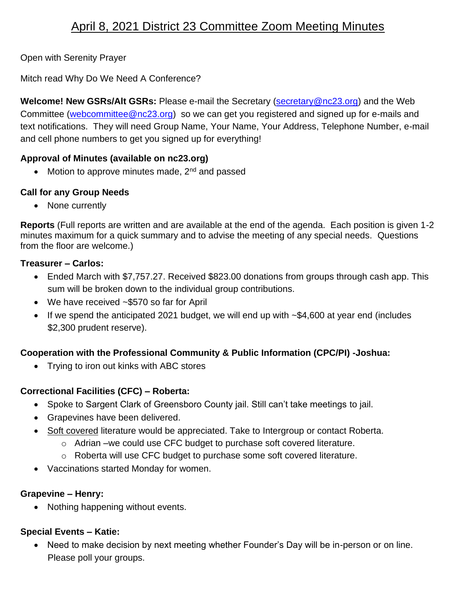# April 8, 2021 District 23 Committee Zoom Meeting Minutes

Open with Serenity Prayer

Mitch read Why Do We Need A Conference?

**Welcome! New GSRs/Alt GSRs:** Please e-mail the Secretary [\(secretary@nc23.org\)](mailto:secretary@nc23.org) and the Web Committee [\(webcommittee@nc23.org\)](mailto:webcommittee@nc23.org) so we can get you registered and signed up for e-mails and text notifications. They will need Group Name, Your Name, Your Address, Telephone Number, e-mail and cell phone numbers to get you signed up for everything!

### **Approval of Minutes (available on nc23.org)**

• Motion to approve minutes made,  $2<sup>nd</sup>$  and passed

### **Call for any Group Needs**

• None currently

**Reports** (Full reports are written and are available at the end of the agenda. Each position is given 1-2 minutes maximum for a quick summary and to advise the meeting of any special needs. Questions from the floor are welcome.)

#### **Treasurer – Carlos:**

- Ended March with \$7,757.27. Received \$823.00 donations from groups through cash app. This sum will be broken down to the individual group contributions.
- We have received ~\$570 so far for April
- If we spend the anticipated 2021 budget, we will end up with ~\$4,600 at year end (includes \$2,300 prudent reserve).

## **Cooperation with the Professional Community & Public Information (CPC/PI) -Joshua:**

• Trying to iron out kinks with ABC stores

## **Correctional Facilities (CFC) – Roberta:**

- Spoke to Sargent Clark of Greensboro County jail. Still can't take meetings to jail.
- Grapevines have been delivered.
- Soft covered literature would be appreciated. Take to Intergroup or contact Roberta.
	- o Adrian –we could use CFC budget to purchase soft covered literature.
	- o Roberta will use CFC budget to purchase some soft covered literature.
- Vaccinations started Monday for women.

#### **Grapevine – Henry:**

• Nothing happening without events.

## **Special Events – Katie:**

• Need to make decision by next meeting whether Founder's Day will be in-person or on line. Please poll your groups.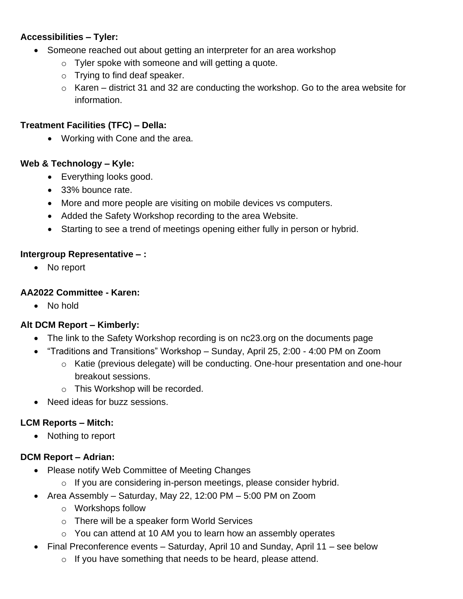## **Accessibilities – Tyler:**

- Someone reached out about getting an interpreter for an area workshop
	- $\circ$  Tyler spoke with someone and will getting a quote.
	- o Trying to find deaf speaker.
	- $\circ$  Karen district 31 and 32 are conducting the workshop. Go to the area website for information.

## **Treatment Facilities (TFC) – Della:**

• Working with Cone and the area.

### **Web & Technology – Kyle:**

- Everything looks good.
- 33% bounce rate.
- More and more people are visiting on mobile devices vs computers.
- Added the Safety Workshop recording to the area Website.
- Starting to see a trend of meetings opening either fully in person or hybrid.

### **Intergroup Representative – :**

• No report

### **AA2022 Committee - Karen:**

• No hold

## **Alt DCM Report – Kimberly:**

- The link to the Safety Workshop recording is on nc23.org on the documents page
- "Traditions and Transitions" Workshop Sunday, April 25, 2:00 4:00 PM on Zoom
	- o Katie (previous delegate) will be conducting. One-hour presentation and one-hour breakout sessions.
	- o This Workshop will be recorded.
- Need ideas for buzz sessions.

## **LCM Reports – Mitch:**

• Nothing to report

#### **DCM Report – Adrian:**

- Please notify Web Committee of Meeting Changes
	- o If you are considering in-person meetings, please consider hybrid.
- Area Assembly Saturday, May 22, 12:00 PM 5:00 PM on Zoom
	- o Workshops follow
	- o There will be a speaker form World Services
	- o You can attend at 10 AM you to learn how an assembly operates
- Final Preconference events Saturday, April 10 and Sunday, April 11 see below
	- $\circ$  If you have something that needs to be heard, please attend.